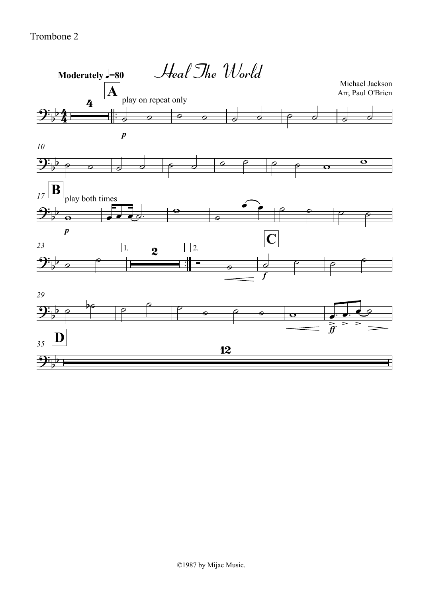Trombone 2